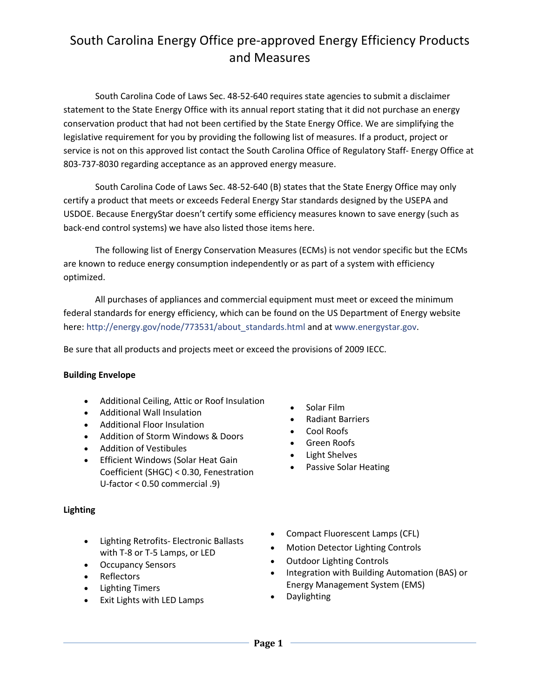# South Carolina Energy Office pre-approved Energy Efficiency Products and Measures

South Carolina Code of Laws Sec. 48-52-640 requires state agencies to submit a disclaimer statement to the State Energy Office with its annual report stating that it did not purchase an energy conservation product that had not been certified by the State Energy Office. We are simplifying the legislative requirement for you by providing the following list of measures. If a product, project or service is not on this approved list contact the South Carolina Office of Regulatory Staff- Energy Office at 803-737-8030 regarding acceptance as an approved energy measure.

South Carolina Code of Laws Sec. 48-52-640 (B) states that the State Energy Office may only certify a product that meets or exceeds Federal Energy Star standards designed by the USEPA and USDOE. Because EnergyStar doesn't certify some efficiency measures known to save energy (such as back-end control systems) we have also listed those items here.

The following list of Energy Conservation Measures (ECMs) is not vendor specific but the ECMs are known to reduce energy consumption independently or as part of a system with efficiency optimized.

All purchases of appliances and commercial equipment must meet or exceed the minimum federal standards for energy efficiency, which can be found on the US Department of Energy website here: [http://energy.gov/node/773531/about\\_standards.html](http://energy.gov/node/773531/about_standards.html) and at www.energystar.gov.

Be sure that all products and projects meet or exceed the provisions of 2009 IECC.

#### **Building Envelope**

- Additional Ceiling, Attic or Roof Insulation
- Additional Wall Insulation
- Additional Floor Insulation
- Addition of Storm Windows & Doors
- Addition of Vestibules
- Efficient Windows (Solar Heat Gain Coefficient (SHGC) < 0.30, Fenestration U-factor < 0.50 commercial .9)

## **Lighting**

- Lighting Retrofits- Electronic Ballasts with T-8 or T-5 Lamps, or LED
- Occupancy Sensors
- Reflectors
- Lighting Timers
- Exit Lights with LED Lamps
- Solar Film
- Radiant Barriers
- Cool Roofs
- Green Roofs
- Light Shelves
- Passive Solar Heating
- Compact Fluorescent Lamps (CFL)
- Motion Detector Lighting Controls
- Outdoor Lighting Controls
- Integration with Building Automation (BAS) or Energy Management System (EMS)
- Daylighting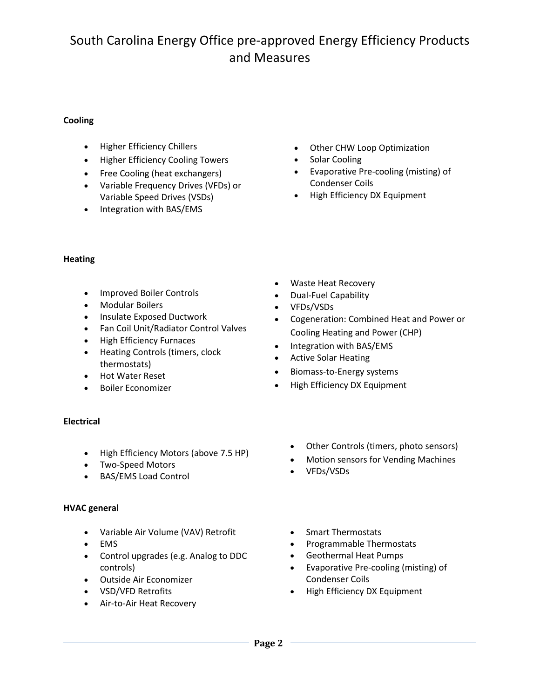## South Carolina Energy Office pre-approved Energy Efficiency Products and Measures

#### **Cooling**

- Higher Efficiency Chillers
- Higher Efficiency Cooling Towers
- Free Cooling (heat exchangers)
- Variable Frequency Drives (VFDs) or Variable Speed Drives (VSDs)
- Integration with BAS/EMS
- Other CHW Loop Optimization
- Solar Cooling
- Evaporative Pre-cooling (misting) of Condenser Coils
- High Efficiency DX Equipment

#### **Heating**

- Improved Boiler Controls
- Modular Boilers
- Insulate Exposed Ductwork
- Fan Coil Unit/Radiator Control Valves
- High Efficiency Furnaces
- Heating Controls (timers, clock thermostats)
- Hot Water Reset
- Boiler Economizer

## **Electrical**

- High Efficiency Motors (above 7.5 HP)
- Two-Speed Motors
- BAS/EMS Load Control

## **HVAC general**

- Variable Air Volume (VAV) Retrofit
- EMS
- Control upgrades (e.g. Analog to DDC controls)
- Outside Air Economizer
- VSD/VFD Retrofits
- Air-to-Air Heat Recovery
- Waste Heat Recovery
- Dual-Fuel Capability
- VFDs/VSDs
- Cogeneration: Combined Heat and Power or Cooling Heating and Power (CHP)
- Integration with BAS/EMS
- Active Solar Heating
- Biomass-to-Energy systems
- High Efficiency DX Equipment
	- Other Controls (timers, photo sensors)
	- Motion sensors for Vending Machines
	- VFDs/VSDs
	- Smart Thermostats
	- Programmable Thermostats
	- Geothermal Heat Pumps
	- Evaporative Pre-cooling (misting) of Condenser Coils
	- High Efficiency DX Equipment